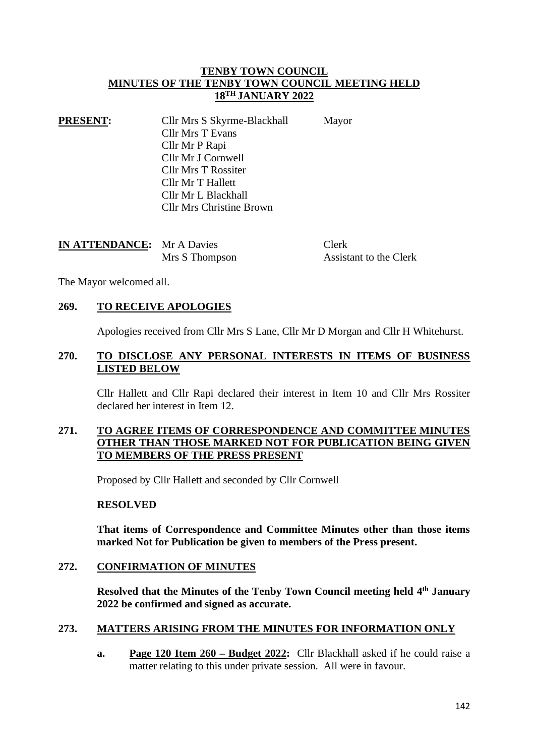### **TENBY TOWN COUNCIL MINUTES OF THE TENBY TOWN COUNCIL MEETING HELD 18TH JANUARY 2022**

| <b>PRESENT:</b> | Cllr Mrs S Skyrme-Blackhall     | Mayor |
|-----------------|---------------------------------|-------|
|                 | Cllr Mrs T Evans                |       |
|                 | Cllr Mr P Rapi                  |       |
|                 | Cllr Mr J Cornwell              |       |
|                 | <b>Cllr Mrs T Rossiter</b>      |       |
|                 | Cllr Mr T Hallett               |       |
|                 | Cllr Mr L Blackhall             |       |
|                 | <b>Cllr Mrs Christine Brown</b> |       |

| <b>IN ATTENDANCE:</b> Mr A Davies |                | Clerk                  |
|-----------------------------------|----------------|------------------------|
|                                   | Mrs S Thompson | Assistant to the Clerk |

The Mayor welcomed all.

### **269. TO RECEIVE APOLOGIES**

Apologies received from Cllr Mrs S Lane, Cllr Mr D Morgan and Cllr H Whitehurst.

### **270. TO DISCLOSE ANY PERSONAL INTERESTS IN ITEMS OF BUSINESS LISTED BELOW**

Cllr Hallett and Cllr Rapi declared their interest in Item 10 and Cllr Mrs Rossiter declared her interest in Item 12.

### **271. TO AGREE ITEMS OF CORRESPONDENCE AND COMMITTEE MINUTES OTHER THAN THOSE MARKED NOT FOR PUBLICATION BEING GIVEN TO MEMBERS OF THE PRESS PRESENT**

Proposed by Cllr Hallett and seconded by Cllr Cornwell

#### **RESOLVED**

**That items of Correspondence and Committee Minutes other than those items marked Not for Publication be given to members of the Press present.**

### **272. CONFIRMATION OF MINUTES**

Resolved that the Minutes of the Tenby Town Council meeting held 4<sup>th</sup> January **2022 be confirmed and signed as accurate.**

#### **273. MATTERS ARISING FROM THE MINUTES FOR INFORMATION ONLY**

**a. Page 120 Item 260 – Budget 2022:** Cllr Blackhall asked if he could raise a matter relating to this under private session. All were in favour.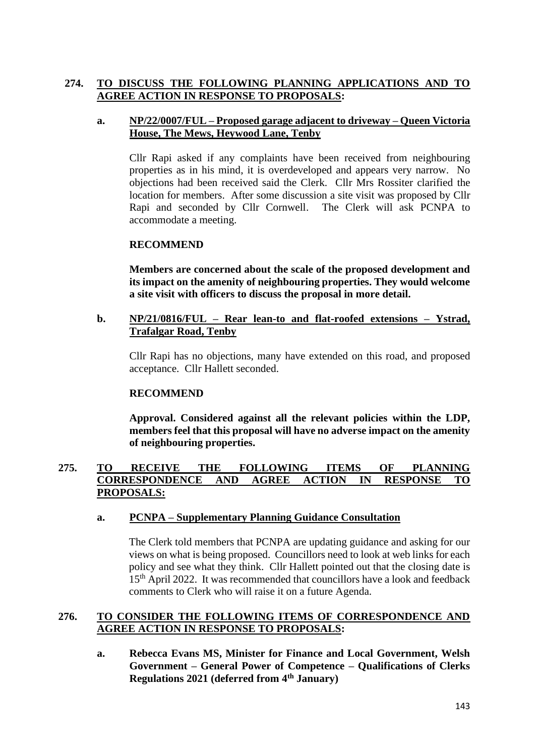# **274. TO DISCUSS THE FOLLOWING PLANNING APPLICATIONS AND TO AGREE ACTION IN RESPONSE TO PROPOSALS:**

### **a. NP/22/0007/FUL – Proposed garage adjacent to driveway – Queen Victoria House, The Mews, Heywood Lane, Tenby**

Cllr Rapi asked if any complaints have been received from neighbouring properties as in his mind, it is overdeveloped and appears very narrow. No objections had been received said the Clerk. Cllr Mrs Rossiter clarified the location for members. After some discussion a site visit was proposed by Cllr Rapi and seconded by Cllr Cornwell. The Clerk will ask PCNPA to accommodate a meeting.

### **RECOMMEND**

**Members are concerned about the scale of the proposed development and its impact on the amenity of neighbouring properties. They would welcome a site visit with officers to discuss the proposal in more detail.**

### **b. NP/21/0816/FUL – Rear lean-to and flat-roofed extensions – Ystrad, Trafalgar Road, Tenby**

Cllr Rapi has no objections, many have extended on this road, and proposed acceptance. Cllr Hallett seconded.

## **RECOMMEND**

**Approval. Considered against all the relevant policies within the LDP, members feel that this proposal will have no adverse impact on the amenity of neighbouring properties.**

## **275. TO RECEIVE THE FOLLOWING ITEMS OF PLANNING CORRESPONDENCE AND AGREE ACTION IN RESPONSE TO PROPOSALS:**

#### **a. PCNPA – Supplementary Planning Guidance Consultation**

The Clerk told members that PCNPA are updating guidance and asking for our views on what is being proposed. Councillors need to look at web links for each policy and see what they think. Cllr Hallett pointed out that the closing date is 15<sup>th</sup> April 2022. It was recommended that councillors have a look and feedback comments to Clerk who will raise it on a future Agenda.

## **276. TO CONSIDER THE FOLLOWING ITEMS OF CORRESPONDENCE AND AGREE ACTION IN RESPONSE TO PROPOSALS:**

**a. Rebecca Evans MS, Minister for Finance and Local Government, Welsh Government – General Power of Competence – Qualifications of Clerks Regulations 2021 (deferred from 4th January)**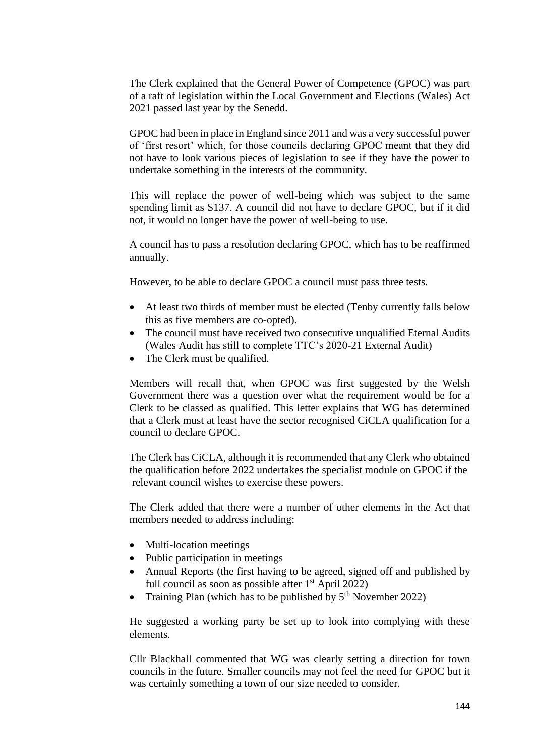The Clerk explained that the General Power of Competence (GPOC) was part of a raft of legislation within the Local Government and Elections (Wales) Act 2021 passed last year by the Senedd.

GPOC had been in place in England since 2011 and was a very successful power of 'first resort' which, for those councils declaring GPOC meant that they did not have to look various pieces of legislation to see if they have the power to undertake something in the interests of the community.

This will replace the power of well-being which was subject to the same spending limit as S137. A council did not have to declare GPOC, but if it did not, it would no longer have the power of well-being to use.

A council has to pass a resolution declaring GPOC, which has to be reaffirmed annually.

However, to be able to declare GPOC a council must pass three tests.

- At least two thirds of member must be elected (Tenby currently falls below this as five members are co-opted).
- The council must have received two consecutive unqualified Eternal Audits (Wales Audit has still to complete TTC's 2020-21 External Audit)
- The Clerk must be qualified.

Members will recall that, when GPOC was first suggested by the Welsh Government there was a question over what the requirement would be for a Clerk to be classed as qualified. This letter explains that WG has determined that a Clerk must at least have the sector recognised CiCLA qualification for a council to declare GPOC.

The Clerk has CiCLA, although it is recommended that any Clerk who obtained the qualification before 2022 undertakes the specialist module on GPOC if the relevant council wishes to exercise these powers.

The Clerk added that there were a number of other elements in the Act that members needed to address including:

- Multi-location meetings
- Public participation in meetings
- Annual Reports (the first having to be agreed, signed off and published by full council as soon as possible after  $1<sup>st</sup>$  April 2022)
- Training Plan (which has to be published by  $5<sup>th</sup>$  November 2022)

He suggested a working party be set up to look into complying with these elements.

Cllr Blackhall commented that WG was clearly setting a direction for town councils in the future. Smaller councils may not feel the need for GPOC but it was certainly something a town of our size needed to consider.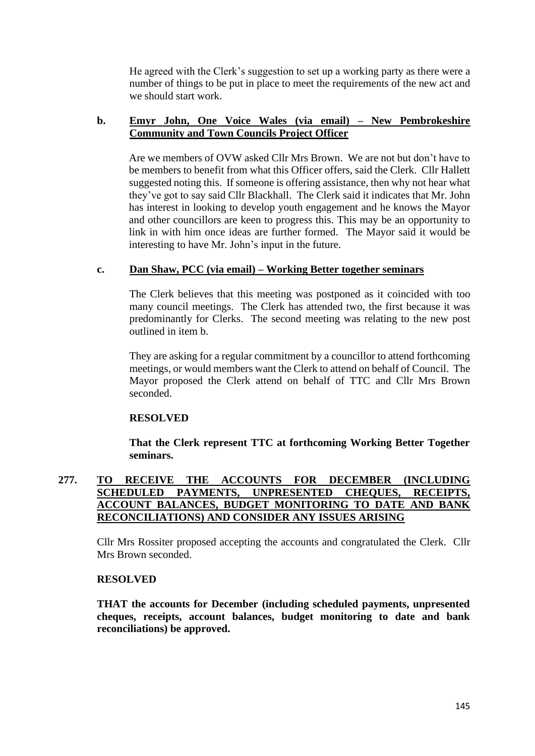He agreed with the Clerk's suggestion to set up a working party as there were a number of things to be put in place to meet the requirements of the new act and we should start work.

## **b. Emyr John, One Voice Wales (via email) – New Pembrokeshire Community and Town Councils Project Officer**

Are we members of OVW asked Cllr Mrs Brown. We are not but don't have to be members to benefit from what this Officer offers, said the Clerk. Cllr Hallett suggested noting this. If someone is offering assistance, then why not hear what they've got to say said Cllr Blackhall. The Clerk said it indicates that Mr. John has interest in looking to develop youth engagement and he knows the Mayor and other councillors are keen to progress this. This may be an opportunity to link in with him once ideas are further formed. The Mayor said it would be interesting to have Mr. John's input in the future.

### **c. Dan Shaw, PCC (via email) – Working Better together seminars**

The Clerk believes that this meeting was postponed as it coincided with too many council meetings. The Clerk has attended two, the first because it was predominantly for Clerks. The second meeting was relating to the new post outlined in item b.

They are asking for a regular commitment by a councillor to attend forthcoming meetings, or would members want the Clerk to attend on behalf of Council. The Mayor proposed the Clerk attend on behalf of TTC and Cllr Mrs Brown seconded.

#### **RESOLVED**

**That the Clerk represent TTC at forthcoming Working Better Together seminars.**

## **277. TO RECEIVE THE ACCOUNTS FOR DECEMBER (INCLUDING SCHEDULED PAYMENTS, UNPRESENTED CHEQUES, RECEIPTS, ACCOUNT BALANCES, BUDGET MONITORING TO DATE AND BANK RECONCILIATIONS) AND CONSIDER ANY ISSUES ARISING**

Cllr Mrs Rossiter proposed accepting the accounts and congratulated the Clerk. Cllr Mrs Brown seconded.

#### **RESOLVED**

**THAT the accounts for December (including scheduled payments, unpresented cheques, receipts, account balances, budget monitoring to date and bank reconciliations) be approved.**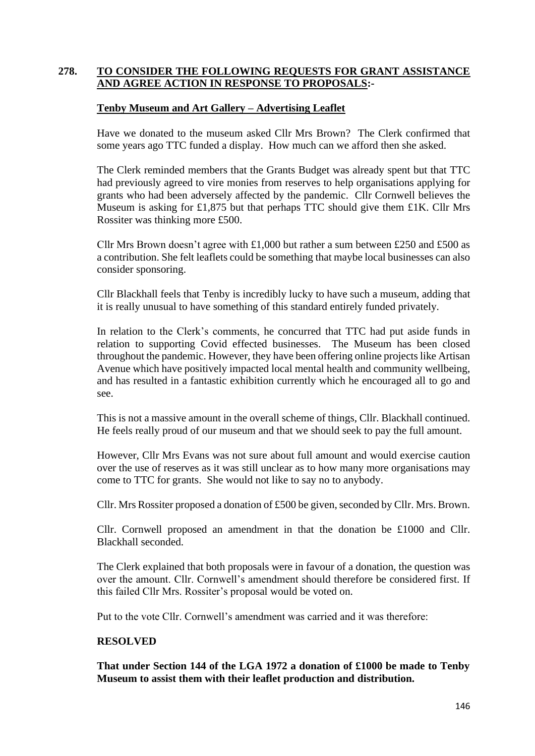## **278. TO CONSIDER THE FOLLOWING REQUESTS FOR GRANT ASSISTANCE AND AGREE ACTION IN RESPONSE TO PROPOSALS:-**

#### **Tenby Museum and Art Gallery – Advertising Leaflet**

Have we donated to the museum asked Cllr Mrs Brown? The Clerk confirmed that some years ago TTC funded a display. How much can we afford then she asked.

The Clerk reminded members that the Grants Budget was already spent but that TTC had previously agreed to vire monies from reserves to help organisations applying for grants who had been adversely affected by the pandemic. Cllr Cornwell believes the Museum is asking for £1,875 but that perhaps TTC should give them £1K. Cllr Mrs Rossiter was thinking more £500.

Cllr Mrs Brown doesn't agree with £1,000 but rather a sum between £250 and £500 as a contribution. She felt leaflets could be something that maybe local businesses can also consider sponsoring.

Cllr Blackhall feels that Tenby is incredibly lucky to have such a museum, adding that it is really unusual to have something of this standard entirely funded privately.

In relation to the Clerk's comments, he concurred that TTC had put aside funds in relation to supporting Covid effected businesses. The Museum has been closed throughout the pandemic. However, they have been offering online projects like Artisan Avenue which have positively impacted local mental health and community wellbeing, and has resulted in a fantastic exhibition currently which he encouraged all to go and see.

This is not a massive amount in the overall scheme of things, Cllr. Blackhall continued. He feels really proud of our museum and that we should seek to pay the full amount.

However, Cllr Mrs Evans was not sure about full amount and would exercise caution over the use of reserves as it was still unclear as to how many more organisations may come to TTC for grants. She would not like to say no to anybody.

Cllr. Mrs Rossiter proposed a donation of £500 be given, seconded by Cllr. Mrs. Brown.

Cllr. Cornwell proposed an amendment in that the donation be £1000 and Cllr. Blackhall seconded.

The Clerk explained that both proposals were in favour of a donation, the question was over the amount. Cllr. Cornwell's amendment should therefore be considered first. If this failed Cllr Mrs. Rossiter's proposal would be voted on.

Put to the vote Cllr. Cornwell's amendment was carried and it was therefore:

#### **RESOLVED**

**That under Section 144 of the LGA 1972 a donation of £1000 be made to Tenby Museum to assist them with their leaflet production and distribution.**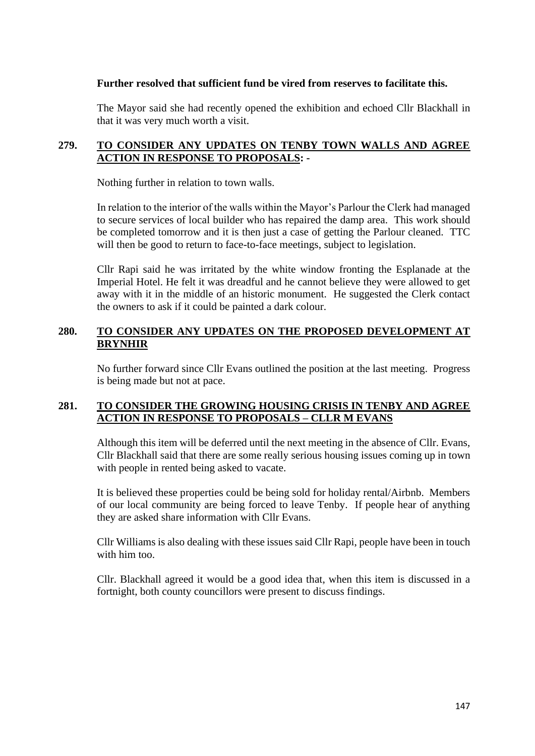#### **Further resolved that sufficient fund be vired from reserves to facilitate this.**

The Mayor said she had recently opened the exhibition and echoed Cllr Blackhall in that it was very much worth a visit.

## **279. TO CONSIDER ANY UPDATES ON TENBY TOWN WALLS AND AGREE ACTION IN RESPONSE TO PROPOSALS: -**

Nothing further in relation to town walls.

In relation to the interior of the walls within the Mayor's Parlour the Clerk had managed to secure services of local builder who has repaired the damp area. This work should be completed tomorrow and it is then just a case of getting the Parlour cleaned. TTC will then be good to return to face-to-face meetings, subject to legislation.

Cllr Rapi said he was irritated by the white window fronting the Esplanade at the Imperial Hotel. He felt it was dreadful and he cannot believe they were allowed to get away with it in the middle of an historic monument. He suggested the Clerk contact the owners to ask if it could be painted a dark colour.

## **280. TO CONSIDER ANY UPDATES ON THE PROPOSED DEVELOPMENT AT BRYNHIR**

No further forward since Cllr Evans outlined the position at the last meeting. Progress is being made but not at pace.

### **281. TO CONSIDER THE GROWING HOUSING CRISIS IN TENBY AND AGREE ACTION IN RESPONSE TO PROPOSALS – CLLR M EVANS**

Although this item will be deferred until the next meeting in the absence of Cllr. Evans, Cllr Blackhall said that there are some really serious housing issues coming up in town with people in rented being asked to vacate.

It is believed these properties could be being sold for holiday rental/Airbnb. Members of our local community are being forced to leave Tenby. If people hear of anything they are asked share information with Cllr Evans.

Cllr Williams is also dealing with these issues said Cllr Rapi, people have been in touch with him too.

Cllr. Blackhall agreed it would be a good idea that, when this item is discussed in a fortnight, both county councillors were present to discuss findings.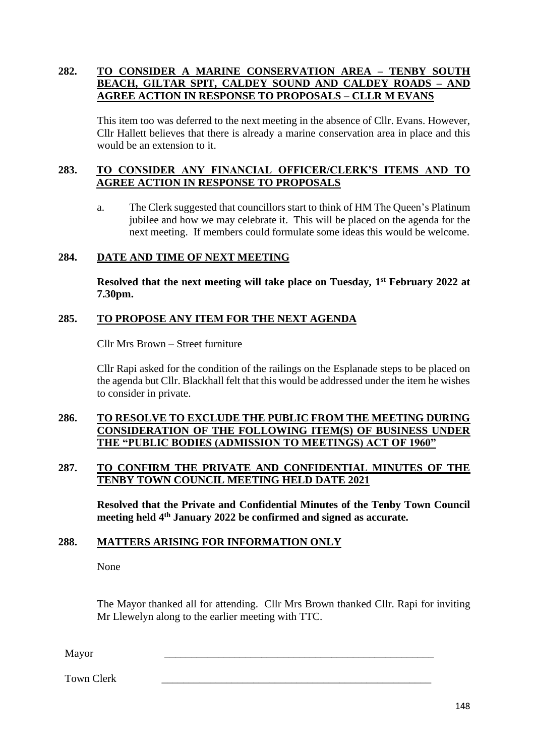# **282. TO CONSIDER A MARINE CONSERVATION AREA – TENBY SOUTH BEACH, GILTAR SPIT, CALDEY SOUND AND CALDEY ROADS – AND AGREE ACTION IN RESPONSE TO PROPOSALS – CLLR M EVANS**

This item too was deferred to the next meeting in the absence of Cllr. Evans. However, Cllr Hallett believes that there is already a marine conservation area in place and this would be an extension to it.

## **283. TO CONSIDER ANY FINANCIAL OFFICER/CLERK'S ITEMS AND TO AGREE ACTION IN RESPONSE TO PROPOSALS**

a. The Clerk suggested that councillors start to think of HM The Queen's Platinum jubilee and how we may celebrate it. This will be placed on the agenda for the next meeting. If members could formulate some ideas this would be welcome.

## **284. DATE AND TIME OF NEXT MEETING**

**Resolved that the next meeting will take place on Tuesday, 1 st February 2022 at 7.30pm.**

## **285. TO PROPOSE ANY ITEM FOR THE NEXT AGENDA**

Cllr Mrs Brown – Street furniture

Cllr Rapi asked for the condition of the railings on the Esplanade steps to be placed on the agenda but Cllr. Blackhall felt that this would be addressed under the item he wishes to consider in private.

## **286. TO RESOLVE TO EXCLUDE THE PUBLIC FROM THE MEETING DURING CONSIDERATION OF THE FOLLOWING ITEM(S) OF BUSINESS UNDER THE "PUBLIC BODIES (ADMISSION TO MEETINGS) ACT OF 1960"**

## **287. TO CONFIRM THE PRIVATE AND CONFIDENTIAL MINUTES OF THE TENBY TOWN COUNCIL MEETING HELD DATE 2021**

**Resolved that the Private and Confidential Minutes of the Tenby Town Council meeting held 4 th January 2022 be confirmed and signed as accurate.**

## **288. MATTERS ARISING FOR INFORMATION ONLY**

None

The Mayor thanked all for attending. Cllr Mrs Brown thanked Cllr. Rapi for inviting Mr Llewelyn along to the earlier meeting with TTC.

Mayor \_\_\_\_\_\_\_\_\_\_\_\_\_\_\_\_\_\_\_\_\_\_\_\_\_\_\_\_\_\_\_\_\_\_\_\_\_\_\_\_\_\_\_\_\_\_\_\_\_\_

Town Clerk \_\_\_\_\_\_\_\_\_\_\_\_\_\_\_\_\_\_\_\_\_\_\_\_\_\_\_\_\_\_\_\_\_\_\_\_\_\_\_\_\_\_\_\_\_\_\_\_\_\_